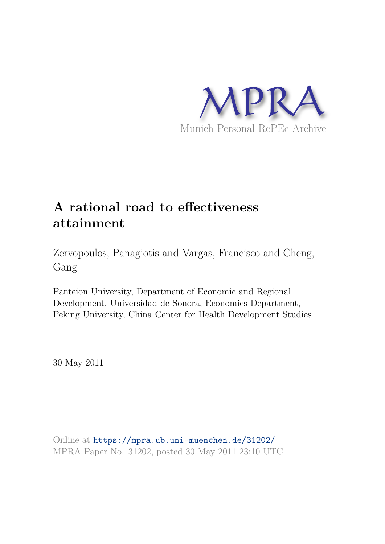

# **A rational road to effectiveness attainment**

Zervopoulos, Panagiotis and Vargas, Francisco and Cheng, Gang

Panteion University, Department of Economic and Regional Development, Universidad de Sonora, Economics Department, Peking University, China Center for Health Development Studies

30 May 2011

Online at https://mpra.ub.uni-muenchen.de/31202/ MPRA Paper No. 31202, posted 30 May 2011 23:10 UTC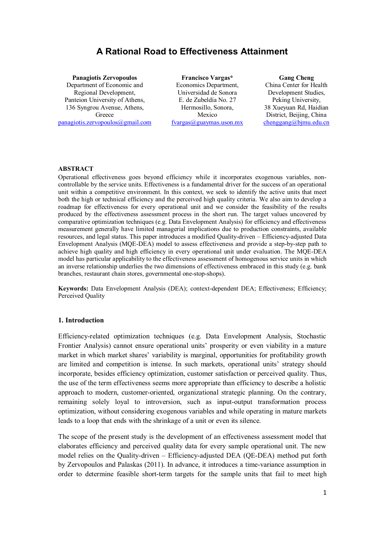## **A Rational Road to Effectiveness Attainment**

**Panagiotis Zervopoulos** Department of Economic and Regional Development, Panteion University of Athens, 136 Syngrou Avenue, Athens, Greece panagiotis.zervopoulos@gmail.com

**Francisco Vargas\*** Economics Department, Universidad de Sonora E. de Zubeldía No. 27 Hermosillo, Sonora, Mexico fvargas@guaymas.uson.mx

**Gang Cheng** China Center for Health Development Studies, Peking University, 38 Xueyuan Rd, Haidian District, Beijing, China chenggang@bjmu.edu.cn

#### **ABSTRACT**

Operational effectiveness goes beyond efficiency while it incorporates exogenous variables, noncontrollable by the service units. Effectiveness is a fundamental driver for the success of an operational unit within a competitive environment. In this context, we seek to identify the active units that meet both the high or technical efficiency and the perceived high quality criteria. We also aim to develop a roadmap for effectiveness for every operational unit and we consider the feasibility of the results produced by the effectiveness assessment process in the short run. The target values uncovered by comparative optimization techniques (e.g. Data Envelopment Analysis) for efficiency and effectiveness measurement generally have limited managerial implications due to production constraints, available resources, and legal status. This paper introduces a modified Quality-driven – Efficiency-adjusted Data Envelopment Analysis (MQE-DEA) model to assess effectiveness and provide a step-by-step path to achieve high quality and high efficiency in every operational unit under evaluation. The MQE-DEA model has particular applicability to the effectiveness assessment of homogenous service units in which an inverse relationship underlies the two dimensions of effectiveness embraced in this study (e.g. bank branches, restaurant chain stores, governmental one-stop-shops).

**Keywords:** Data Envelopment Analysis (DEA); context-dependent DEA; Effectiveness; Efficiency; Perceived Quality

#### **1. Introduction**

Efficiency-related optimization techniques (e.g. Data Envelopment Analysis, Stochastic Frontier Analysis) cannot ensure operational units' prosperity or even viability in a mature market in which market shares' variability is marginal, opportunities for profitability growth are limited and competition is intense. In such markets, operational units' strategy should incorporate, besides efficiency optimization, customer satisfaction or perceived quality. Thus, the use of the term effectiveness seems more appropriate than efficiency to describe a holistic approach to modern, customer-oriented, organizational strategic planning. On the contrary, remaining solely loyal to introversion, such as input-output transformation process optimization, without considering exogenous variables and while operating in mature markets leads to a loop that ends with the shrinkage of a unit or even its silence.

The scope of the present study is the development of an effectiveness assessment model that elaborates efficiency and perceived quality data for every sample operational unit. The new model relies on the Quality-driven – Efficiency-adjusted DEA (QE-DEA) method put forth by Zervopoulos and Palaskas (2011). In advance, it introduces a time-variance assumption in order to determine feasible short-term targets for the sample units that fail to meet high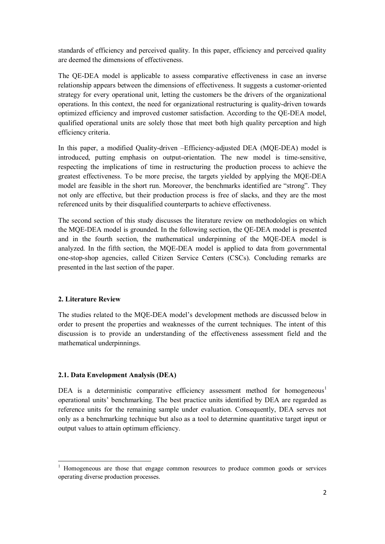standards of efficiency and perceived quality. In this paper, efficiency and perceived quality are deemed the dimensions of effectiveness.

The QE-DEA model is applicable to assess comparative effectiveness in case an inverse relationship appears between the dimensions of effectiveness. It suggests a customer-oriented strategy for every operational unit, letting the customers be the drivers of the organizational operations. In this context, the need for organizational restructuring is quality-driven towards optimized efficiency and improved customer satisfaction. According to the QE-DEA model, qualified operational units are solely those that meet both high quality perception and high efficiency criteria.

In this paper, a modified Quality-driven –Efficiency-adjusted DEA (MQE-DEA) model is introduced, putting emphasis on output-orientation. The new model is time-sensitive, respecting the implications of time in restructuring the production process to achieve the greatest effectiveness. To be more precise, the targets yielded by applying the MQE-DEA model are feasible in the short run. Moreover, the benchmarks identified are "strong". They not only are effective, but their production process is free of slacks, and they are the most referenced units by their disqualified counterparts to achieve effectiveness.

The second section of this study discusses the literature review on methodologies on which the MQE-DEA model is grounded. In the following section, the QE-DEA model is presented and in the fourth section, the mathematical underpinning of the MQE-DEA model is analyzed. In the fifth section, the MQE-DEA model is applied to data from governmental one-stop-shop agencies, called Citizen Service Centers (CSCs). Concluding remarks are presented in the last section of the paper.

#### **2. Literature Review**

The studies related to the MQE-DEA model's development methods are discussed below in order to present the properties and weaknesses of the current techniques. The intent of this discussion is to provide an understanding of the effectiveness assessment field and the mathematical underpinnings.

#### **2.1. Data Envelopment Analysis (DEA)**

DEA is a deterministic comparative efficiency assessment method for homogeneous<sup>1</sup> operational units' benchmarking. The best practice units identified by DEA are regarded as reference units for the remaining sample under evaluation. Consequently, DEA serves not only as a benchmarking technique but also as a tool to determine quantitative target input or output values to attain optimum efficiency.

<sup>&</sup>lt;sup>1</sup> Homogeneous are those that engage common resources to produce common goods or services operating diverse production processes.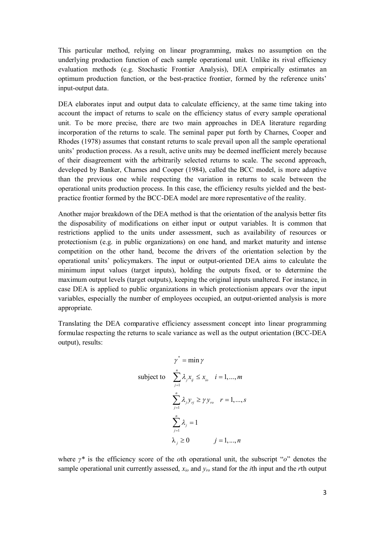This particular method, relying on linear programming, makes no assumption on the underlying production function of each sample operational unit. Unlike its rival efficiency evaluation methods (e.g. Stochastic Frontier Analysis), DEA empirically estimates an optimum production function, or the best-practice frontier, formed by the reference units' input-output data.

DEA elaborates input and output data to calculate efficiency, at the same time taking into account the impact of returns to scale on the efficiency status of every sample operational unit. To be more precise, there are two main approaches in DEA literature regarding incorporation of the returns to scale. The seminal paper put forth by Charnes, Cooper and Rhodes (1978) assumes that constant returns to scale prevail upon all the sample operational units' production process. As a result, active units may be deemed inefficient merely because of their disagreement with the arbitrarily selected returns to scale. The second approach, developed by Banker, Charnes and Cooper (1984), called the BCC model, is more adaptive than the previous one while respecting the variation in returns to scale between the operational units production process. In this case, the efficiency results yielded and the bestpractice frontier formed by the BCC-DEA model are more representative of the reality.

Another major breakdown of the DEA method is that the orientation of the analysis better fits the disposability of modifications on either input or output variables. It is common that restrictions applied to the units under assessment, such as availability of resources or protectionism (e.g. in public organizations) on one hand, and market maturity and intense competition on the other hand, become the drivers of the orientation selection by the operational units' policymakers. The input or output-oriented DEA aims to calculate the minimum input values (target inputs), holding the outputs fixed, or to determine the maximum output levels (target outputs), keeping the original inputs unaltered. For instance, in case DEA is applied to public organizations in which protectionism appears over the input variables, especially the number of employees occupied, an output-oriented analysis is more appropriate.

Translating the DEA comparative efficiency assessment concept into linear programming formulae respecting the returns to scale variance as well as the output orientation (BCC-DEA output), results:

$$
\gamma^* = \min \gamma
$$
  
subject to 
$$
\sum_{j=1}^n \lambda_j x_{ij} \le x_{i_0} \quad i = 1, ..., m
$$

$$
\sum_{j=1}^n \lambda_j y_{ij} \ge \gamma y_{i_0} \quad r = 1, ..., s
$$

$$
\sum_{j=1}^n \lambda_j = 1
$$

$$
\lambda_j \ge 0 \qquad j = 1, ..., n
$$

where *γ\** is the efficiency score of the *o*th operational unit, the subscript "*o*" denotes the sample operational unit currently assessed, *xio* and *yro* stand for the *i*th input and the *r*th output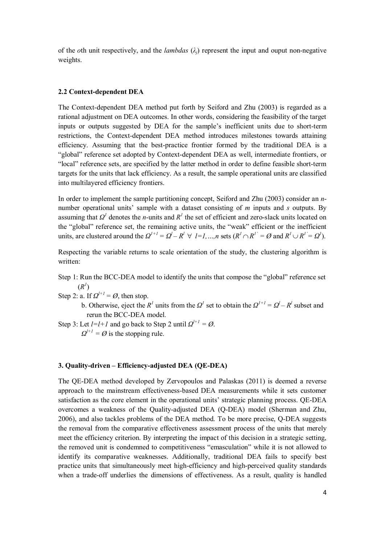of the *o*th unit respectively, and the *lambdas*  $(\lambda_i)$  represent the input and ouput non-negative weights.

#### **2.2 Context-dependent DEA**

The Context-dependent DEA method put forth by Seiford and Zhu (2003) is regarded as a rational adjustment on DEA outcomes. In other words, considering the feasibility of the target inputs or outputs suggested by DEA for the sample's inefficient units due to short-term restrictions, the Context-dependent DEA method introduces milestones towards attaining efficiency. Assuming that the best-practice frontier formed by the traditional DEA is a "global" reference set adopted by Context-dependent DEA as well, intermediate frontiers, or "local" reference sets, are specified by the latter method in order to define feasible short-term targets for the units that lack efficiency. As a result, the sample operational units are classified into multilayered efficiency frontiers.

In order to implement the sample partitioning concept, Seiford and Zhu (2003) consider an *n*number operational units' sample with a dataset consisting of *m* inputs and *s* outputs. By assuming that  $\Omega^1$  denotes the *n*-units and  $R^1$  the set of efficient and zero-slack units located on the "global" reference set, the remaining active units, the "weak" efficient or the inefficient units, are clustered around the  $Q^{l+1} = Q^l - R^l \forall l = l, ..., n$  sets  $(R^l \cap R^{l'} = \emptyset$  and  $R^l \cup R^{l'} = Q^l$ ).

Respecting the variable returns to scale orientation of the study, the clustering algorithm is written:

- Step 1: Run the BCC-DEA model to identify the units that compose the "global" reference set  $(R^I)$
- Step 2: a. If  $\Omega^{l+1} = \emptyset$ , then stop.
	- b. Otherwise, eject the *R*<sup>1</sup> units from the  $\Omega$ <sup>1</sup> set to obtain the  $\Omega$ <sup>1+1</sup> =  $\Omega$ <sup>1</sup> *R*<sup>1</sup> subset and rerun the BCC-DEA model.
- Step 3: Let  $l=l+1$  and go back to Step 2 until  $Q^{l+1} = Q$ .

 $Q^{l+1} = \emptyset$  is the stopping rule.

## **3. Quality-driven – Efficiency-adjusted DEA (QE-DEA)**

The QE-DEA method developed by Zervopoulos and Palaskas (2011) is deemed a reverse approach to the mainstream effectiveness-based DEA measurements while it sets customer satisfaction as the core element in the operational units' strategic planning process. QE-DEA overcomes a weakness of the Quality-adjusted DEA (Q-DEA) model (Sherman and Zhu, 2006), and also tackles problems of the DEA method. To be more precise, Q-DEA suggests the removal from the comparative effectiveness assessment process of the units that merely meet the efficiency criterion. By interpreting the impact of this decision in a strategic setting, the removed unit is condemned to competitiveness "emasculation" while it is not allowed to identify its comparative weaknesses. Additionally, traditional DEA fails to specify best practice units that simultaneously meet high-efficiency and high-perceived quality standards when a trade-off underlies the dimensions of effectiveness. As a result, quality is handled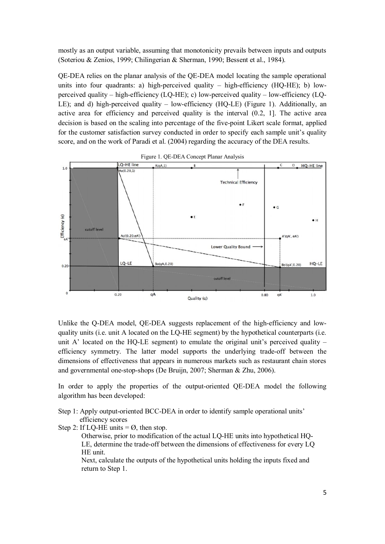mostly as an output variable, assuming that monotonicity prevails between inputs and outputs (Soteriou & Zenios, 1999; Chilingerian & Sherman, 1990; Bessent et al., 1984).

QE-DEA relies on the planar analysis of the QE-DEA model locating the sample operational units into four quadrants: a) high-perceived quality – high-efficiency (HQ-HE); b) lowperceived quality – high-efficiency (LQ-HE); c) low-perceived quality – low-efficiency (LQ-LE); and d) high-perceived quality – low-efficiency (HQ-LE) (Figure 1). Additionally, an active area for efficiency and perceived quality is the interval (0.2, 1]. The active area decision is based on the scaling into percentage of the five-point Likert scale format, applied for the customer satisfaction survey conducted in order to specify each sample unit's quality score, and on the work of Paradi et al. (2004) regarding the accuracy of the DEA results.



Unlike the O-DEA model, OE-DEA suggests replacement of the high-efficiency and lowquality units (i.e. unit A located on the LQ-HE segment) by the hypothetical counterparts (i.e. unit A' located on the HQ-LE segment) to emulate the original unit's perceived quality – efficiency symmetry. The latter model supports the underlying trade-off between the dimensions of effectiveness that appears in numerous markets such as restaurant chain stores and governmental one-stop-shops (De Bruijn, 2007; Sherman & Zhu, 2006).

In order to apply the properties of the output-oriented QE-DEA model the following algorithm has been developed:

Step 1: Apply output-oriented BCC-DEA in order to identify sample operational units' efficiency scores

Step 2: If LQ-HE units  $=$  Ø, then stop.

Otherwise, prior to modification of the actual LQ-HE units into hypothetical HQ-LE, determine the trade-off between the dimensions of effectiveness for every LQ HE unit.

Next, calculate the outputs of the hypothetical units holding the inputs fixed and return to Step 1.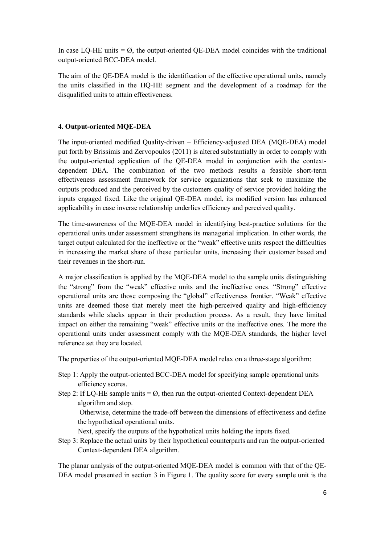In case LQ-HE units  $= \emptyset$ , the output-oriented QE-DEA model coincides with the traditional output-oriented BCC-DEA model.

The aim of the QE-DEA model is the identification of the effective operational units, namely the units classified in the HQ-HE segment and the development of a roadmap for the disqualified units to attain effectiveness.

## **4. Output-oriented MQE-DEA**

The input-oriented modified Quality-driven – Efficiency-adjusted DEA (MQE-DEA) model put forth by Brissimis and Zervopoulos (2011) is altered substantially in order to comply with the output-oriented application of the QE-DEA model in conjunction with the contextdependent DEA. The combination of the two methods results a feasible short-term effectiveness assessment framework for service organizations that seek to maximize the outputs produced and the perceived by the customers quality of service provided holding the inputs engaged fixed. Like the original QE-DEA model, its modified version has enhanced applicability in case inverse relationship underlies efficiency and perceived quality.

The time-awareness of the MQE-DEA model in identifying best-practice solutions for the operational units under assessment strengthens its managerial implication. In other words, the target output calculated for the ineffective or the "weak" effective units respect the difficulties in increasing the market share of these particular units, increasing their customer based and their revenues in the short-run.

A major classification is applied by the MQE-DEA model to the sample units distinguishing the "strong" from the "weak" effective units and the ineffective ones. "Strong" effective operational units are those composing the "global" effectiveness frontier. "Weak" effective units are deemed those that merely meet the high-perceived quality and high-efficiency standards while slacks appear in their production process. As a result, they have limited impact on either the remaining "weak" effective units or the ineffective ones. The more the operational units under assessment comply with the MQE-DEA standards, the higher level reference set they are located.

The properties of the output-oriented MQE-DEA model relax on a three-stage algorithm:

- Step 1: Apply the output-oriented BCC-DEA model for specifying sample operational units efficiency scores.
- Step 2: If LO-HE sample units  $= \emptyset$ , then run the output-oriented Context-dependent DEA algorithm and stop.

 Otherwise, determine the trade-off between the dimensions of effectiveness and define the hypothetical operational units.

Next, specify the outputs of the hypothetical units holding the inputs fixed.

Step 3: Replace the actual units by their hypothetical counterparts and run the output-oriented Context-dependent DEA algorithm.

The planar analysis of the output-oriented MQE-DEA model is common with that of the QE-DEA model presented in section 3 in Figure 1. The quality score for every sample unit is the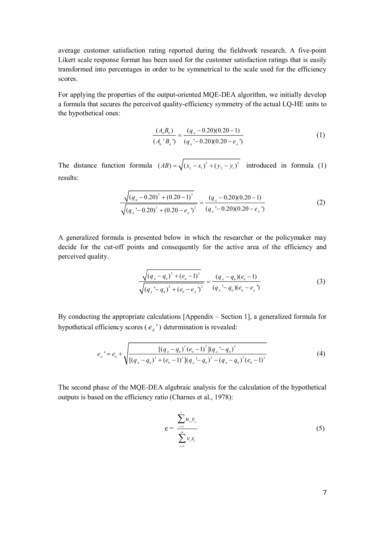average customer satisfaction rating reported during the fieldwork research. A five-point Likert scale response format has been used for the customer satisfaction ratings that is easily transformed into percentages in order to be symmetrical to the scale used for the efficiency scores.

For applying the properties of the output-oriented MQE-DEA algorithm, we initially develop a formula that secures the perceived quality-efficiency symmetry of the actual LQ-HE units to the hypothetical ones:

$$
\frac{(A_0 B_0)}{(A_0 B_0)} = \frac{(q_A - 0.20)(0.20 - 1)}{(q_A - 0.20)(0.20 - e_A)}
$$
(1)

The distance function formula  $(AB) = \sqrt{(x_2 - x_1)^2 + (y_2 - y_1)^2}$  introduced in formula (1) results:

$$
\frac{\sqrt{(q_{A}-0.20)^{2}+(0.20-1)^{2}}}{\sqrt{(q_{A}-0.20)^{2}+(0.20-e_{A})^{2}}}=\frac{(q_{A}-0.20)(0.20-1)}{(q_{A}-0.20)(0.20-e_{A})}
$$
\n(2)

A generalized formula is presented below in which the researcher or the policymaker may decide for the cut-off points and consequently for the active area of the efficiency and perceived quality.

$$
\frac{\sqrt{(q_{A}-q_{0})^{2}+(e_{0}-1)^{2}}}{\sqrt{(q_{A}-q_{0})^{2}+(e_{0}-e_{A})^{2}}}=\frac{(q_{A}-q_{0})(e_{0}-1)}{(q_{A}-q_{0})(e_{0}-e_{A})}
$$
(3)

By conducting the appropriate calculations [Appendix – Section 1], a generalized formula for hypothetical efficiency scores  $(e_A^{\prime})$  determination is revealed:

$$
e_{A}^{\prime} = e_{0} + \sqrt{\frac{\left[ (q_{A} - q_{0})^{2} (e_{0} - 1)^{2} \right] (q_{A}^{\prime} - q_{0})^{2}}{\left[ (q_{A} - q_{0})^{2} + (e_{0} - 1)^{2} \right] (q_{A}^{\prime} - q_{0})^{2} - (q_{A} - q_{0})^{2} (e_{0} - 1)^{2}}}
$$
(4)

The second phase of the MQE-DEA algebraic analysis for the calculation of the hypothetical outputs is based on the efficiency ratio (Charnes et al., 1978):

$$
e = \frac{\sum_{r=1}^{s} u_r y_r}{\sum_{i=1}^{m} v_i x_i}
$$
 (5)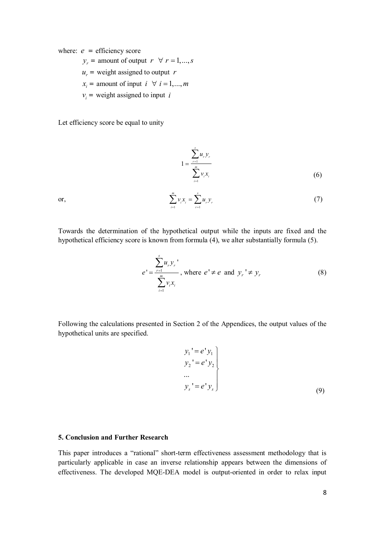where:  $e = \text{efficiency score}$ 

$$
y_r
$$
 = amount of output  $r \forall r = 1,...,s$ 

 $u_r$  = weight assigned to output *r* 

$$
x_i
$$
 = amount of input  $i \forall i = 1,...,m$ 

 $v_i$  = weight assigned to input *i* 

Let efficiency score be equal to unity

$$
1 = \frac{\sum_{r=1}^{s} u_r y_r}{\sum_{i=1}^{m} v_i x_i}
$$
 (6)

or,

$$
\sum_{i=1}^{m} \nu_i x_i = \sum_{r=1}^{s} u_r y_r \tag{7}
$$

Towards the determination of the hypothetical output while the inputs are fixed and the hypothetical efficiency score is known from formula (4), we alter substantially formula (5).

$$
e' = \frac{\sum_{r=1}^{s} u_r y_r'}{\sum_{i=1}^{m} v_i x_i}, \text{ where } e' \neq e \text{ and } y_r' \neq y_r
$$
 (8)

Following the calculations presented in Section 2 of the Appendices, the output values of the hypothetical units are specified.

$$
y_1' = e' y_1
$$
  
\n
$$
y_2' = e' y_2
$$
  
\n...  
\n
$$
y_s' = e' y_s
$$
  
\n(9)

#### **5. Conclusion and Further Research**

This paper introduces a "rational" short-term effectiveness assessment methodology that is particularly applicable in case an inverse relationship appears between the dimensions of effectiveness. The developed MQE-DEA model is output-oriented in order to relax input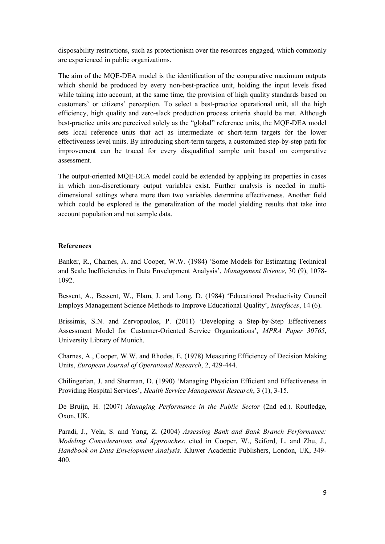disposability restrictions, such as protectionism over the resources engaged, which commonly are experienced in public organizations.

The aim of the MQE-DEA model is the identification of the comparative maximum outputs which should be produced by every non-best-practice unit, holding the input levels fixed while taking into account, at the same time, the provision of high quality standards based on customers' or citizens' perception. To select a best-practice operational unit, all the high efficiency, high quality and zero-slack production process criteria should be met. Although best-practice units are perceived solely as the "global" reference units, the MQE-DEA model sets local reference units that act as intermediate or short-term targets for the lower effectiveness level units. By introducing short-term targets, a customized step-by-step path for improvement can be traced for every disqualified sample unit based on comparative assessment.

The output-oriented MQE-DEA model could be extended by applying its properties in cases in which non-discretionary output variables exist. Further analysis is needed in multidimensional settings where more than two variables determine effectiveness. Another field which could be explored is the generalization of the model yielding results that take into account population and not sample data.

### **References**

Banker, R., Charnes, A. and Cooper, W.W. (1984) 'Some Models for Estimating Technical and Scale Inefficiencies in Data Envelopment Analysis', *Management Science*, 30 (9), 1078- 1092.

Bessent, A., Bessent, W., Elam, J. and Long, D. (1984) 'Educational Productivity Council Employs Management Science Methods to Improve Educational Quality', *Interfaces*, 14 (6).

Brissimis, S.N. and Zervopoulos, P. (2011) 'Developing a Step-by-Step Effectiveness Assessment Model for Customer-Oriented Service Organizations', *MPRA Paper 30765*, University Library of Munich.

Charnes, A., Cooper, W.W. and Rhodes, E. (1978) Measuring Efficiency of Decision Making Units, *European Journal of Operational Research*, 2, 429-444.

Chilingerian, J. and Sherman, D. (1990) 'Managing Physician Efficient and Effectiveness in Providing Hospital Services', *Health Service Management Research*, 3 (1), 3-15.

De Bruijn, H. (2007) *Managing Performance in the Public Sector* (2nd ed.). Routledge, Oxon, UK.

Paradi, J., Vela, S. and Yang, Z. (2004) *Assessing Bank and Bank Branch Performance: Modeling Considerations and Approaches*, cited in Cooper, W., Seiford, L. and Zhu, J., *Handbook on Data Envelopment Analysis*. Kluwer Academic Publishers, London, UK, 349- 400.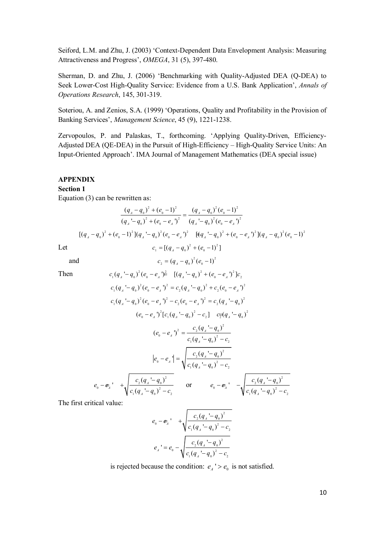Seiford, L.M. and Zhu, J. (2003) 'Context-Dependent Data Envelopment Analysis: Measuring Attractiveness and Progress', *OMEGA*, 31 (5), 397-480.

Sherman, D. and Zhu, J. (2006) 'Benchmarking with Quality-Adjusted DEA (Q-DEA) to Seek Lower-Cost High-Quality Service: Evidence from a U.S. Bank Application', *Annals of Operations Research*, 145, 301-319.

Soteriou, A. and Zenios, S.A. (1999) 'Operations, Quality and Profitability in the Provision of Banking Services', *Management Science*, 45 (9), 1221-1238.

Zervopoulos, P. and Palaskas, T., forthcoming. 'Applying Quality-Driven, Efficiency-Adjusted DEA (QE-DEA) in the Pursuit of High-Efficiency – High-Quality Service Units: An Input-Oriented Approach'. IMA Journal of Management Mathematics (DEA special issue)

#### **APPENDIX**

#### **Section 1**

Equation (3) can be rewritten as:

$$
\frac{(q_{A} - q_{0})^{2} + (e_{0} - 1)^{2}}{(q_{A} - q_{0})^{2} + (e_{0} - e_{A})^{2}} = \frac{(q_{A} - q_{0})^{2} (e_{0} - 1)^{2}}{(q_{A} - q_{0})^{2} (e_{0} - e_{A})^{2}}
$$
  

$$
[(q_{A} - q_{0})^{2} + (e_{0} - 1)^{2}](q_{A} - q_{0})^{2} (e_{0} - e_{A})^{2} = [(q_{A} - q_{0})^{2} + (e_{0} - e_{A})^{2}](q_{A} - q_{0})^{2} (e_{0} - 1)^{2}
$$
  
Let 
$$
c_{1} = [(q_{A} - q_{0})^{2} + (e_{0} - 1)^{2}]
$$

and  $c_2 = (q_A - q_0)^2 (e_0 - 1)^2$ 

Then  
\n
$$
c_1(q_A - q_0)^2 (e_0 - e_A)^2 = [(q_A - q_0)^2 + (e_0 - e_A)^2]c_2
$$
\n
$$
c_1(q_A - q_0)^2 (e_0 - e_A)^2 = c_2(q_A - q_0)^2 + c_2(e_0 - e_A)^2
$$
\n
$$
c_1(q_A - q_0)^2 (e_0 - e_A)^2 - c_2(e_0 - e_A)^2 = c_2(q_A - q_0)^2
$$
\n
$$
(e_0 - e_A)^2 [c_1(q_A - q_0)^2 - c_2] - c_2^2 [c_1(q_A - q_0)^2]
$$
\n
$$
(e_0 - e_A)^2 = \frac{c_2(q_A - q_0)^2}{c_1(q_A - q_0)^2 - c_2}
$$
\n
$$
|e_0 - e_A|^2 = \sqrt{\frac{c_2(q_A - q_0)^2}{c_1(q_A - q_0)^2 - c_2}}
$$
\n
$$
e_0 - e_A^2 = \sqrt{\frac{c_2(q_A - q_0)^2}{c_1(q_A - q_0)^2 - c_2}}
$$
\n
$$
e_0 - e_A^2 = \sqrt{\frac{c_2(q_A - q_0)^2}{c_1(q_A - q_0)^2 - c_2}}
$$
\n
$$
e_0 - e_A^2 = \sqrt{\frac{c_2(q_A - q_0)^2}{c_1(q_A - q_0)^2 - c_2}}
$$

The first critical value:

$$
e_0 - e_4' + \sqrt{\frac{c_2 (q_4 - q_0)^2}{c_1 (q_4 - q_0)^2 - c_2}}
$$
  

$$
e_4' = e_0 - \sqrt{\frac{c_2 (q_4 - q_0)^2}{c_1 (q_4 - q_0)^2 - c_2}}
$$

is rejected because the condition:  $e_A$ <sup> $\prime$ </sup> >  $e_0$  is not satisfied.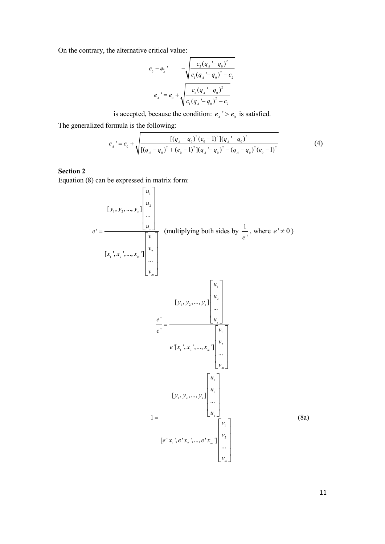On the contrary, the alternative critical value:

$$
e_0 - e_{\overline{A}} \qquad -\sqrt{\frac{c_2 (q_{\overline{A}} - q_0)^2}{c_1 (q_{\overline{A}} - q_0)^2 - c_2}}
$$

$$
e_{\overline{A}} = e_0 + \sqrt{\frac{c_2 (q_{\overline{A}} - q_0)^2}{c_1 (q_{\overline{A}} - q_0)^2 - c_2}}
$$

is accepted, because the condition:  $e_{A}$ ' >  $e_{0}$  is satisfied.

The generalized formula is the following:

$$
e_{A}^{\prime} = e_{0} + \sqrt{\frac{\left[ (q_{A} - q_{0})^{2} (e_{0} - 1)^{2} \right] (q_{A}^{\prime} - q_{0})^{2}}{\left[ (q_{A} - q_{0})^{2} + (e_{0} - 1)^{2} \right] (q_{A}^{\prime} - q_{0})^{2} - (q_{A} - q_{0})^{2} (e_{0} - 1)^{2}}}
$$
(4)

## **Section 2**

Equation (8) can be expressed in matrix form:  $\overline{r}$   $\overline{r}$ 

$$
[y_1, y_2, ..., y_s] \begin{bmatrix} u_1 \\ u_2 \\ \vdots \\ u_s \end{bmatrix}
$$
 (multiplying both sides by  $\frac{1}{e^t}$ , where  $e^t \neq 0$ )  
\n
$$
[x_1^1, x_2^1, ..., x_m^1] \begin{bmatrix} v_1 \\ v_2 \\ \vdots \\ v_m \end{bmatrix}
$$
  
\n
$$
\frac{e^t}{e^t} = \frac{y_1^1 y_2^1 y_3^2 \dots y_s^1 y_s^1 y_s^1}{\begin{bmatrix} u_1 \\ u_2 \\ \vdots \\ u_s \end{bmatrix}}
$$
  
\n
$$
e^t [x_1^1, x_2^1, ..., x_m^1] \begin{bmatrix} u_1 \\ v_2 \\ \vdots \\ v_m \end{bmatrix}
$$
  
\n
$$
[y_1, y_2, ..., y_s] \begin{bmatrix} u_1 \\ v_2 \\ \vdots \\ u_s \end{bmatrix}
$$
  
\n
$$
[y_1, y_2, ..., y_s] \begin{bmatrix} u_1 \\ u_2 \\ \vdots \\ u_s \end{bmatrix}
$$
  
\n
$$
[e^t x_1^1, e^t x_2^1, ..., e^t x_m^1] \begin{bmatrix} v_1 \\ v_2 \\ \vdots \\ v_m \end{bmatrix}
$$
  
\n(8a)

 $11$